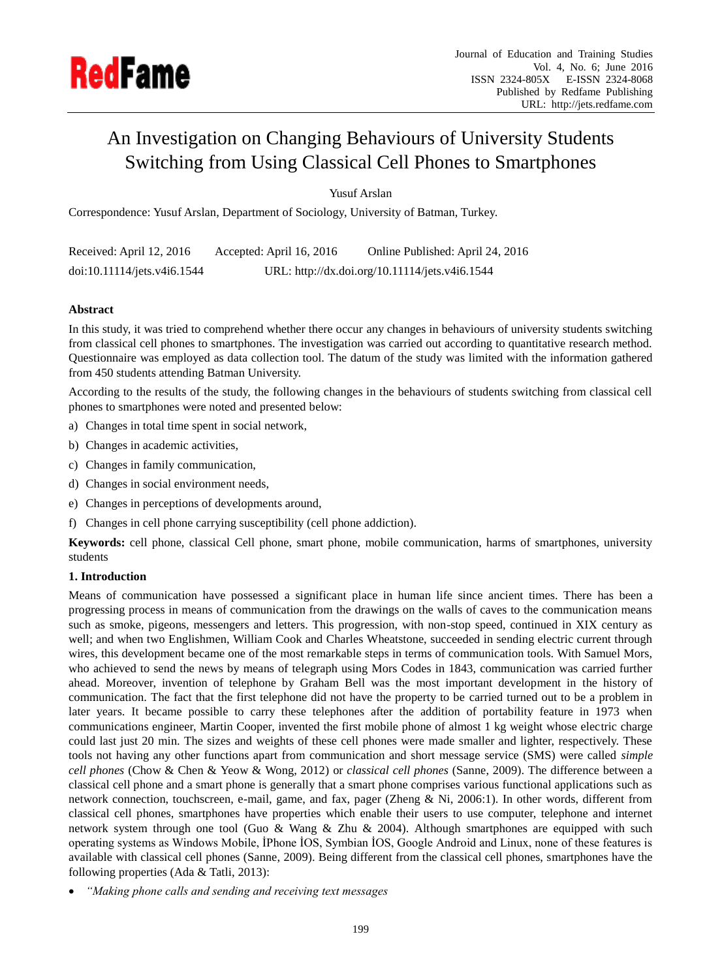

# An Investigation on Changing Behaviours of University Students Switching from Using Classical Cell Phones to Smartphones

Yusuf Arslan

Correspondence: Yusuf Arslan, Department of Sociology, University of Batman, Turkey.

| Received: April 12, 2016    | Accepted: April 16, 2016 | Online Published: April 24, 2016               |
|-----------------------------|--------------------------|------------------------------------------------|
| doi:10.11114/jets.v4i6.1544 |                          | URL: http://dx.doi.org/10.11114/jets.v4i6.1544 |

## **Abstract**

In this study, it was tried to comprehend whether there occur any changes in behaviours of university students switching from classical cell phones to smartphones. The investigation was carried out according to quantitative research method. Questionnaire was employed as data collection tool. The datum of the study was limited with the information gathered from 450 students attending Batman University.

According to the results of the study, the following changes in the behaviours of students switching from classical cell phones to smartphones were noted and presented below:

- a) Changes in total time spent in social network,
- b) Changes in academic activities,
- c) Changes in family communication,
- d) Changes in social environment needs,
- e) Changes in perceptions of developments around,
- f) Changes in cell phone carrying susceptibility (cell phone addiction).

**Keywords:** cell phone, classical Cell phone, smart phone, mobile communication, harms of smartphones, university students

## **1. Introduction**

Means of communication have possessed a significant place in human life since ancient times. There has been a progressing process in means of communication from the drawings on the walls of caves to the communication means such as smoke, pigeons, messengers and letters. This progression, with non-stop speed, continued in XIX century as well; and when two Englishmen, William Cook and Charles Wheatstone, succeeded in sending electric current through wires, this development became one of the most remarkable steps in terms of communication tools. With Samuel Mors, who achieved to send the news by means of telegraph using Mors Codes in 1843, communication was carried further ahead. Moreover, invention of telephone by Graham Bell was the most important development in the history of communication. The fact that the first telephone did not have the property to be carried turned out to be a problem in later years. It became possible to carry these telephones after the addition of portability feature in 1973 when communications engineer, Martin Cooper, invented the first mobile phone of almost 1 kg weight whose electric charge could last just 20 min. The sizes and weights of these cell phones were made smaller and lighter, respectively. These tools not having any other functions apart from communication and short message service (SMS) were called *simple cell phones* (Chow & Chen & Yeow & Wong, 2012) or *classical cell phones* (Sanne, 2009). The difference between a classical cell phone and a smart phone is generally that a smart phone comprises various functional applications such as network connection, touchscreen, e-mail, game, and fax, pager (Zheng & Ni, 2006:1). In other words, different from classical cell phones, smartphones have properties which enable their users to use computer, telephone and internet network system through one tool (Guo & Wang & Zhu & 2004). Although smartphones are equipped with such operating systems as Windows Mobile, İPhone İOS, Symbian İOS, Google Android and Linux, none of these features is available with classical cell phones (Sanne, 2009). Being different from the classical cell phones, smartphones have the following properties (Ada & Tatli, 2013):

*"Making phone calls and sending and receiving text messages*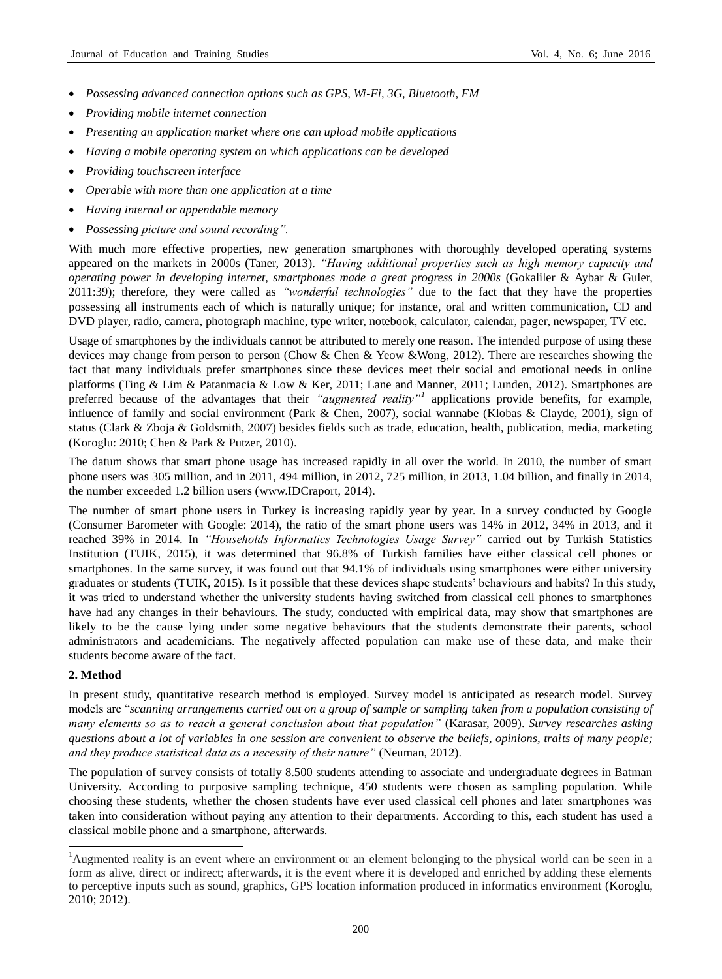- *Possessing advanced connection options such as GPS, Wi-Fi, 3G, Bluetooth, FM*
- *Providing mobile internet connection*
- *Presenting an application market where one can upload mobile applications*
- *Having a mobile operating system on which applications can be developed*
- *Providing touchscreen interface*
- *Operable with more than one application at a time*
- *Having internal or appendable memory*
- *Possessing picture and sound recording".*

With much more effective properties, new generation smartphones with thoroughly developed operating systems appeared on the markets in 2000s (Taner, 2013). *"Having additional properties such as high memory capacity and operating power in developing internet, smartphones made a great progress in 2000s* (Gokaliler & Aybar & Guler, 2011:39); therefore, they were called as *"wonderful technologies"* due to the fact that they have the properties possessing all instruments each of which is naturally unique; for instance, oral and written communication, CD and DVD player, radio, camera, photograph machine, type writer, notebook, calculator, calendar, pager, newspaper, TV etc.

Usage of smartphones by the individuals cannot be attributed to merely one reason. The intended purpose of using these devices may change from person to person (Chow & Chen & Yeow &Wong, 2012). There are researches showing the fact that many individuals prefer smartphones since these devices meet their social and emotional needs in online platforms (Ting & Lim & Patanmacia & Low & Ker, 2011; Lane and Manner, 2011; Lunden, 2012). Smartphones are preferred because of the advantages that their *"augmented reality"<sup>1</sup>* applications provide benefits, for example, influence of family and social environment (Park & Chen, 2007), social wannabe (Klobas & Clayde, 2001), sign of status (Clark & Zboja & Goldsmith, 2007) besides fields such as trade, education, health, publication, media, marketing (Koroglu: 2010; Chen & Park & Putzer, 2010).

The datum shows that smart phone usage has increased rapidly in all over the world. In 2010, the number of smart phone users was 305 million, and in 2011, 494 million, in 2012, 725 million, in 2013, 1.04 billion, and finally in 2014, the number exceeded 1.2 billion users (www.IDCraport, 2014).

The number of smart phone users in Turkey is increasing rapidly year by year. In a survey conducted by Google (Consumer Barometer with Google: 2014), the ratio of the smart phone users was 14% in 2012, 34% in 2013, and it reached 39% in 2014. In *"Households Informatics Technologies Usage Survey"* carried out by Turkish Statistics Institution (TUIK, 2015), it was determined that 96.8% of Turkish families have either classical cell phones or smartphones. In the same survey, it was found out that 94.1% of individuals using smartphones were either university graduates or students (TUIK, 2015). Is it possible that these devices shape students' behaviours and habits? In this study, it was tried to understand whether the university students having switched from classical cell phones to smartphones have had any changes in their behaviours. The study, conducted with empirical data, may show that smartphones are likely to be the cause lying under some negative behaviours that the students demonstrate their parents, school administrators and academicians. The negatively affected population can make use of these data, and make their students become aware of the fact.

## **2. Method**

1

In present study, quantitative research method is employed. Survey model is anticipated as research model. Survey models are "*scanning arrangements carried out on a group of sample or sampling taken from a population consisting of many elements so as to reach a general conclusion about that population"* (Karasar, 2009). *Survey researches asking questions about a lot of variables in one session are convenient to observe the beliefs, opinions, traits of many people; and they produce statistical data as a necessity of their nature"* (Neuman, 2012).

The population of survey consists of totally 8.500 students attending to associate and undergraduate degrees in Batman University. According to purposive sampling technique, 450 students were chosen as sampling population. While choosing these students, whether the chosen students have ever used classical cell phones and later smartphones was taken into consideration without paying any attention to their departments. According to this, each student has used a classical mobile phone and a smartphone, afterwards.

<sup>&</sup>lt;sup>1</sup>Augmented reality is an event where an environment or an element belonging to the physical world can be seen in a form as alive, direct or indirect; afterwards, it is the event where it is developed and enriched by adding these elements to perceptive inputs such as sound, graphics, GPS location information produced in informatics environment (Koroglu, 2010; 2012).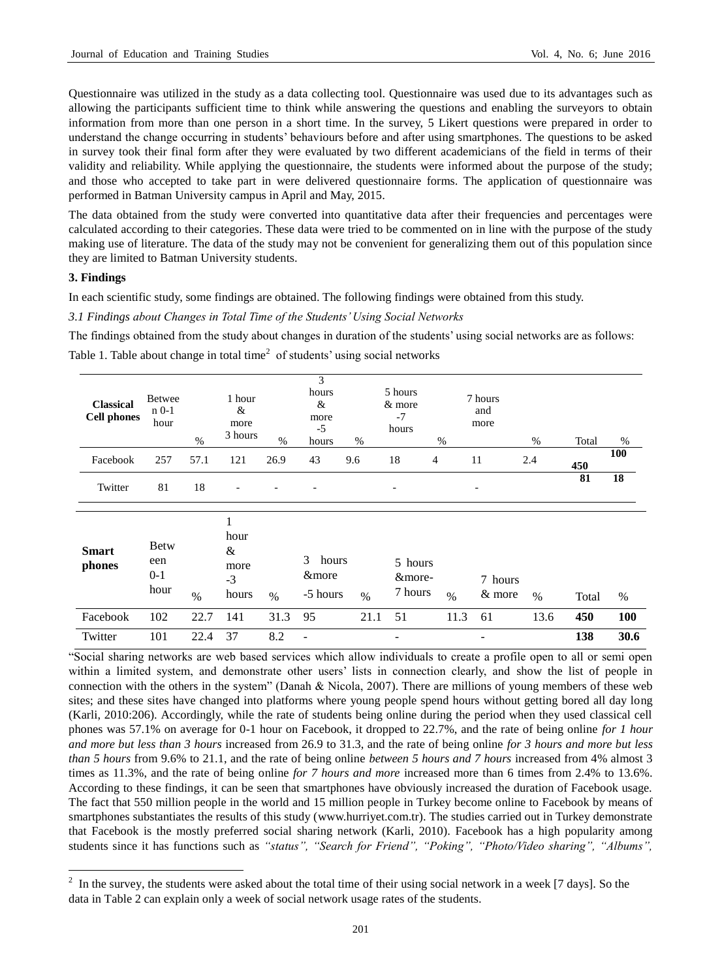Questionnaire was utilized in the study as a data collecting tool. Questionnaire was used due to its advantages such as allowing the participants sufficient time to think while answering the questions and enabling the surveyors to obtain information from more than one person in a short time. In the survey, 5 Likert questions were prepared in order to understand the change occurring in students' behaviours before and after using smartphones. The questions to be asked in survey took their final form after they were evaluated by two different academicians of the field in terms of their validity and reliability. While applying the questionnaire, the students were informed about the purpose of the study; and those who accepted to take part in were delivered questionnaire forms. The application of questionnaire was performed in Batman University campus in April and May, 2015.

The data obtained from the study were converted into quantitative data after their frequencies and percentages were calculated according to their categories. These data were tried to be commented on in line with the purpose of the study making use of literature. The data of the study may not be convenient for generalizing them out of this population since they are limited to Batman University students.

## **3. Findings**

1

In each scientific study, some findings are obtained. The following findings were obtained from this study.

*3.1 Findings about Changes in Total Time of the Students' Using Social Networks*

The findings obtained from the study about changes in duration of the students' using social networks are as follows:

Table 1. Table about change in total time<sup>2</sup> of students' using social networks

| <b>Classical</b><br><b>Cell phones</b> | <b>Betwee</b><br>$n0-1$<br>hour     | $\%$ | 1 hour<br>&<br>more<br>3 hours          | $\%$ | 3<br>hours<br>$\&$<br>more<br>$-5$<br>hours | $\%$ | 5 hours<br>& more<br>$-7$<br>hours | $\%$           | 7 hours<br>and<br>more   | $\%$ | Total | %          |
|----------------------------------------|-------------------------------------|------|-----------------------------------------|------|---------------------------------------------|------|------------------------------------|----------------|--------------------------|------|-------|------------|
| Facebook                               | 257                                 | 57.1 | 121                                     | 26.9 | 43                                          | 9.6  | 18                                 | $\overline{4}$ | 11                       | 2.4  | 450   | 100        |
| Twitter                                | 81                                  | 18   |                                         |      |                                             |      |                                    |                | $\overline{\phantom{a}}$ |      | 81    | 18         |
| <b>Smart</b><br>phones                 | <b>Betw</b><br>een<br>$0-1$<br>hour | $\%$ | 1<br>hour<br>&<br>more<br>$-3$<br>hours | $\%$ | 3<br>hours<br>&more<br>-5 hours             | $\%$ | 5 hours<br>&more-<br>7 hours       | $\frac{0}{0}$  | 7 hours<br>& more        | $\%$ | Total | $\%$       |
| Facebook                               | 102                                 | 22.7 | 141                                     | 31.3 | 95                                          | 21.1 | 51                                 | 11.3           | 61                       | 13.6 | 450   | <b>100</b> |
| Twitter                                | 101                                 | 22.4 | 37                                      | 8.2  |                                             |      |                                    |                |                          |      | 138   | 30.6       |

"Social sharing networks are web based services which allow individuals to create a profile open to all or semi open within a limited system, and demonstrate other users' lists in connection clearly, and show the list of people in connection with the others in the system" (Danah & Nicola, 2007). There are millions of young members of these web sites; and these sites have changed into platforms where young people spend hours without getting bored all day long (Karli, 2010:206). Accordingly, while the rate of students being online during the period when they used classical cell phones was 57.1% on average for 0-1 hour on Facebook, it dropped to 22.7%, and the rate of being online *for 1 hour and more but less than 3 hours* increased from 26.9 to 31.3, and the rate of being online *for 3 hours and more but less than 5 hours* from 9.6% to 21.1, and the rate of being online *between 5 hours and 7 hours* increased from 4% almost 3 times as 11.3%, and the rate of being online *for 7 hours and more* increased more than 6 times from 2.4% to 13.6%. According to these findings, it can be seen that smartphones have obviously increased the duration of Facebook usage. The fact that 550 million people in the world and 15 million people in Turkey become online to Facebook by means of smartphones substantiates the results of this study (www.hurriyet.com.tr). The studies carried out in Turkey demonstrate that Facebook is the mostly preferred social sharing network (Karli, 2010). Facebook has a high popularity among students since it has functions such as *"status", "Search for Friend", "Poking", "Photo/Video sharing", "Albums",* 

 $2\,$  In the survey, the students were asked about the total time of their using social network in a week [7 days]. So the data in Table 2 can explain only a week of social network usage rates of the students.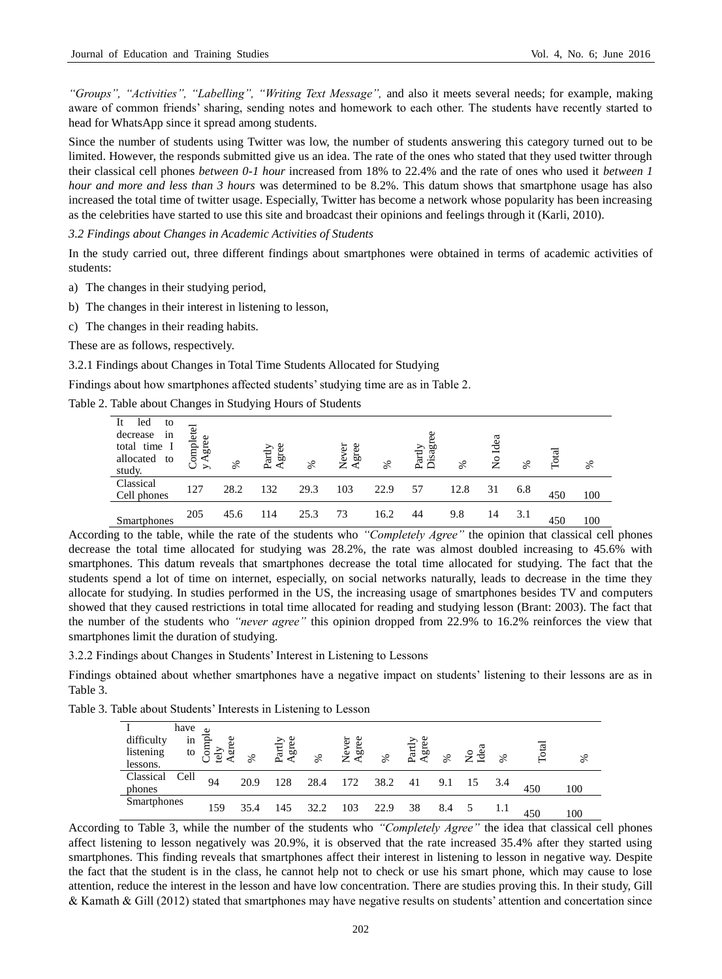*"Groups", "Activities", "Labelling", "Writing Text Message",* and also it meets several needs; for example, making aware of common friends' sharing, sending notes and homework to each other. The students have recently started to head for WhatsApp since it spread among students.

Since the number of students using Twitter was low, the number of students answering this category turned out to be limited. However, the responds submitted give us an idea. The rate of the ones who stated that they used twitter through their classical cell phones *between 0-1 hour* increased from 18% to 22.4% and the rate of ones who used it *between 1 hour and more and less than 3 hours* was determined to be 8.2%. This datum shows that smartphone usage has also increased the total time of twitter usage. Especially, Twitter has become a network whose popularity has been increasing as the celebrities have started to use this site and broadcast their opinions and feelings through it (Karli, 2010).

*3.2 Findings about Changes in Academic Activities of Students*

In the study carried out, three different findings about smartphones were obtained in terms of academic activities of students:

a) The changes in their studying period,

- b) The changes in their interest in listening to lesson,
- c) The changes in their reading habits.

These are as follows, respectively.

3.2.1 Findings about Changes in Total Time Students Allocated for Studying

Findings about how smartphones affected students' studying time are as in Table 2.

Table 2. Table about Changes in Studying Hours of Students

| It<br>led<br>to<br>decrease<br>1n<br>total time I<br>allocated to | ompletel<br>Agree<br>Ü<br>$\rightarrow$ | ℅    | Agree<br>$\rm Partly$ | ℅    | gree<br>Never | ℅    | Disagr<br>Partly | ℅    | Idea<br>$\tilde{z}$ | ℅   | Total | ℅   |  |
|-------------------------------------------------------------------|-----------------------------------------|------|-----------------------|------|---------------|------|------------------|------|---------------------|-----|-------|-----|--|
| study.                                                            |                                         |      |                       |      |               |      |                  |      |                     |     |       |     |  |
| Classical<br>Cell phones                                          | 127                                     | 28.2 | 132                   | 29.3 | 103           | 22.9 | 57               | 12.8 | 31                  | 6.8 | 450   | 100 |  |
| Smartphones                                                       | 205                                     | 45.6 | 114                   | 25.3 | 73            | 16.2 | 44               | 9.8  | 14                  | 3.1 | 450   | 100 |  |

According to the table, while the rate of the students who *"Completely Agree"* the opinion that classical cell phones decrease the total time allocated for studying was 28.2%, the rate was almost doubled increasing to 45.6% with smartphones. This datum reveals that smartphones decrease the total time allocated for studying. The fact that the students spend a lot of time on internet, especially, on social networks naturally, leads to decrease in the time they allocate for studying. In studies performed in the US, the increasing usage of smartphones besides TV and computers showed that they caused restrictions in total time allocated for reading and studying lesson (Brant: 2003). The fact that the number of the students who *"never agree"* this opinion dropped from 22.9% to 16.2% reinforces the view that smartphones limit the duration of studying.

3.2.2 Findings about Changes in Students' Interest in Listening to Lessons

Findings obtained about whether smartphones have a negative impact on students' listening to their lessons are as in Table 3.

Table 3. Table about Students' Interests in Listening to Lesson

| difficulty<br>listening<br>lessons. | have<br>in<br>to | Compl<br>Agre<br>tely | ℅    | Partly<br>Agree | ℅    | 5<br><b>Veve</b><br>Agree | ℅    | Partly<br>Agree | ℅   | dea | ℅ | Total | వ్  |
|-------------------------------------|------------------|-----------------------|------|-----------------|------|---------------------------|------|-----------------|-----|-----|---|-------|-----|
| Classical<br>phones                 | Cell             | 94                    | 20.9 | 128             | 28.4 | 172                       | 38.2 | 41              | 9.1 |     |   | 450   | 100 |
| Smartphones                         |                  | 159                   | 35.4 | 145             | 32.2 | 103                       | 22.9 | 38              | 8.4 |     |   | 450   | 100 |

According to Table 3, while the number of the students who *"Completely Agree"* the idea that classical cell phones affect listening to lesson negatively was 20.9%, it is observed that the rate increased 35.4% after they started using smartphones. This finding reveals that smartphones affect their interest in listening to lesson in negative way. Despite the fact that the student is in the class, he cannot help not to check or use his smart phone, which may cause to lose attention, reduce the interest in the lesson and have low concentration. There are studies proving this. In their study, Gill & Kamath & Gill (2012) stated that smartphones may have negative results on students' attention and concertation since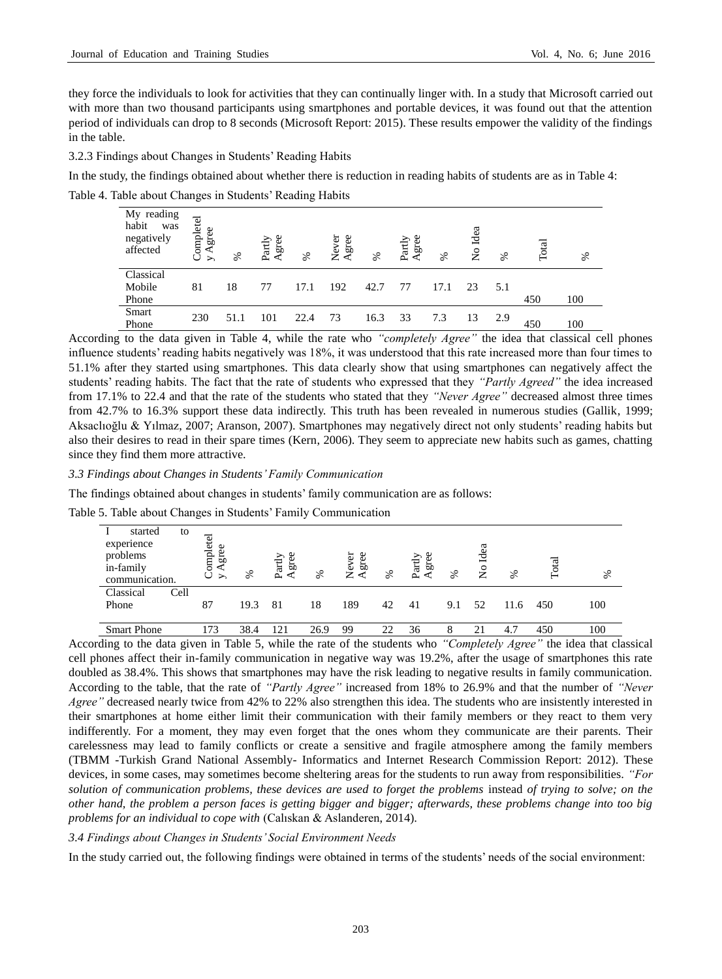they force the individuals to look for activities that they can continually linger with. In a study that Microsoft carried out with more than two thousand participants using smartphones and portable devices, it was found out that the attention period of individuals can drop to 8 seconds (Microsoft Report: 2015). These results empower the validity of the findings in the table.

3.2.3 Findings about Changes in Students' Reading Habits

In the study, the findings obtained about whether there is reduction in reading habits of students are as in Table 4:

Table 4. Table about Changes in Students' Reading Habits

| My reading<br>habit<br>was<br>negatively<br>affected | Completel<br>gree<br>⋖<br>$\geq$ | ℅    | Agree<br>$_{\rm Partly}$ | ℅    | Never<br>gree<br>⋖ | వ్   | Agree<br>${\rm Partly}$ | ℅    | Idea<br>$\frac{1}{2}$ | ℅   | Total | ℅   |
|------------------------------------------------------|----------------------------------|------|--------------------------|------|--------------------|------|-------------------------|------|-----------------------|-----|-------|-----|
| Classical                                            |                                  |      |                          |      |                    |      |                         |      |                       |     |       |     |
| Mobile                                               | 81                               | 18   | 77                       | 17.1 | 192                | 42.7 | 77                      | 17.1 | 23                    | 5.1 |       |     |
| Phone                                                |                                  |      |                          |      |                    |      |                         |      |                       |     | 450   | 100 |
| Smart                                                | 230                              | 51.1 | 101                      | 22.4 | 73                 | 16.3 | 33                      | 7.3  | 13                    | 2.9 |       |     |
| Phone                                                |                                  |      |                          |      |                    |      |                         |      |                       |     | 450   | 100 |

According to the data given in Table 4, while the rate who *"completely Agree"* the idea that classical cell phones influence students' reading habits negatively was 18%, it was understood that this rate increased more than four times to 51.1% after they started using smartphones. This data clearly show that using smartphones can negatively affect the students' reading habits. The fact that the rate of students who expressed that they *"Partly Agreed"* the idea increased from 17.1% to 22.4 and that the rate of the students who stated that they *"Never Agree"* decreased almost three times from 42.7% to 16.3% support these data indirectly. This truth has been revealed in numerous studies (Gallik, 1999; Aksaclıoğlu & Yılmaz, 2007; Aranson, 2007). Smartphones may negatively direct not only students' reading habits but also their desires to read in their spare times (Kern, 2006). They seem to appreciate new habits such as games, chatting since they find them more attractive.

## *3.3 Findings about Changes in Students' Family Communication*

The findings obtained about changes in students' family communication are as follows:

Table 5. Table about Changes in Students' Family Communication

|                                                                        | ັ                                     |      |                         |      |                  |    |                         |      |                       |      |       |      |
|------------------------------------------------------------------------|---------------------------------------|------|-------------------------|------|------------------|----|-------------------------|------|-----------------------|------|-------|------|
| started<br>to<br>experience<br>problems<br>in-family<br>communication. | Completel<br>gree<br>$\triangleright$ | ೫    | gree<br>$_{\rm Partly}$ | ℅    | gree<br>5<br>ψòλ | ℅  | Agree<br>${\rm Partly}$ | $\%$ | Idea<br>$\frac{1}{2}$ | ℅    | Total | $\%$ |
| Classical<br>Cell<br>Phone                                             | 87                                    | 19.3 | 81                      | 18   | 189              | 42 | 41                      | 9.1  | 52                    | 11.6 | 450   | 100  |
| <b>Smart Phone</b>                                                     | 173                                   | 38.4 | 121                     | 26.9 | 99               |    | 36                      | 8    | 21                    | 4.7  | 450   | 100  |

According to the data given in Table 5, while the rate of the students who *"Completely Agree"* the idea that classical cell phones affect their in-family communication in negative way was 19.2%, after the usage of smartphones this rate doubled as 38.4%. This shows that smartphones may have the risk leading to negative results in family communication. According to the table, that the rate of *"Partly Agree"* increased from 18% to 26.9% and that the number of *"Never Agree"* decreased nearly twice from 42% to 22% also strengthen this idea. The students who are insistently interested in their smartphones at home either limit their communication with their family members or they react to them very indifferently. For a moment, they may even forget that the ones whom they communicate are their parents. Their carelessness may lead to family conflicts or create a sensitive and fragile atmosphere among the family members (TBMM -Turkish Grand National Assembly- Informatics and Internet Research Commission Report: 2012). These devices, in some cases, may sometimes become sheltering areas for the students to run away from responsibilities. *"For solution of communication problems, these devices are used to forget the problems* instead *of trying to solve; on the other hand, the problem a person faces is getting bigger and bigger; afterwards, these problems change into too big problems for an individual to cope with* (Calıskan & Aslanderen, 2014).

## *3.4 Findings about Changes in Students' Social Environment Needs*

In the study carried out, the following findings were obtained in terms of the students' needs of the social environment: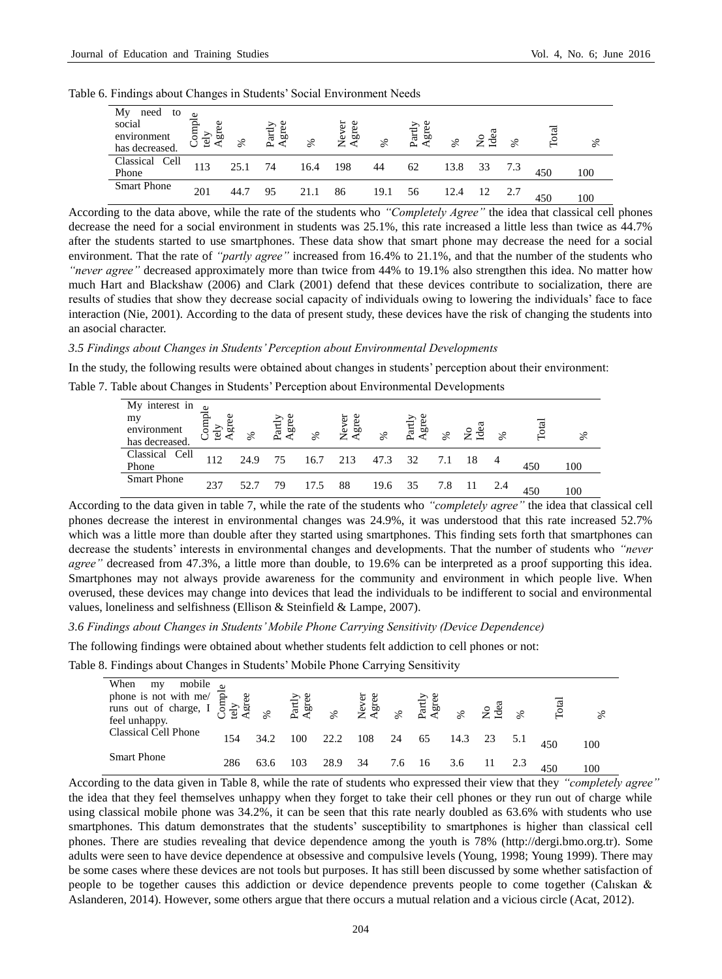|  |  |  | Table 6. Findings about Changes in Students' Social Environment Needs |  |
|--|--|--|-----------------------------------------------------------------------|--|
|  |  |  |                                                                       |  |

| Мy<br>need<br>to<br>social<br>environment<br>has decreased. | gre<br>tely | ℅    | Agree<br>$\operatorname{artly}$ | ℅    | ever<br>gree<br>Ž∢ | $\%$ | Partly<br>Agree | ℅    | Idea | $\%$ | Total | ℅   |
|-------------------------------------------------------------|-------------|------|---------------------------------|------|--------------------|------|-----------------|------|------|------|-------|-----|
| Classical<br>Cell<br>Phone                                  | 113         | 25.1 | 74                              | 16.4 | 198                | 44   | 62              | 13.8 | 33   |      | 450   | 100 |
| <b>Smart Phone</b>                                          | 201         |      | 95                              | 21.1 | 86                 | 19.1 | 56              | 12.4 |      |      | 450   | 100 |

According to the data above, while the rate of the students who *"Completely Agree"* the idea that classical cell phones decrease the need for a social environment in students was 25.1%, this rate increased a little less than twice as 44.7% after the students started to use smartphones. These data show that smart phone may decrease the need for a social environment. That the rate of *"partly agree"* increased from 16.4% to 21.1%, and that the number of the students who *"never agree"* decreased approximately more than twice from 44% to 19.1% also strengthen this idea. No matter how much Hart and Blackshaw (2006) and Clark (2001) defend that these devices contribute to socialization, there are results of studies that show they decrease social capacity of individuals owing to lowering the individuals' face to face interaction (Nie, 2001). According to the data of present study, these devices have the risk of changing the students into an asocial character.

#### *3.5 Findings about Changes in Students' Perception about Environmental Developments*

In the study, the following results were obtained about changes in students' perception about their environment:

Table 7. Table about Changes in Students' Perception about Environmental Developments

| My interest in<br>my<br>environment<br>has decreased. | gre<br>tely | ℅    | Partly<br>Agree | ℅    | 5<br>Neve<br>Agre | ℅    | Partly<br>Agree | ℅ | ਭੁੰ | $\%$ | $_{\rm{Total}}$ | వ్  |
|-------------------------------------------------------|-------------|------|-----------------|------|-------------------|------|-----------------|---|-----|------|-----------------|-----|
| Classical Cell<br>Phone                               | 112         | 24.9 | 75              | 16.7 | 213               | 47.3 | 32              |   |     |      | 450             | 100 |
| <b>Smart Phone</b>                                    | 237         |      | 79              |      | 88                | 19.6 | 35              |   |     |      | 450             | 100 |

According to the data given in table 7, while the rate of the students who *"completely agree"* the idea that classical cell phones decrease the interest in environmental changes was 24.9%, it was understood that this rate increased 52.7% which was a little more than double after they started using smartphones. This finding sets forth that smartphones can decrease the students' interests in environmental changes and developments. That the number of students who *"never agree"* decreased from 47.3%, a little more than double, to 19.6% can be interpreted as a proof supporting this idea. Smartphones may not always provide awareness for the community and environment in which people live. When overused, these devices may change into devices that lead the individuals to be indifferent to social and environmental values, loneliness and selfishness (Ellison & Steinfield & Lampe, 2007).

*3.6 Findings about Changes in Students' Mobile Phone Carrying Sensitivity (Device Dependence)* 

The following findings were obtained about whether students felt addiction to cell phones or not:

Table 8. Findings about Changes in Students' Mobile Phone Carrying Sensitivity

| mobile $\omega$<br>When<br>my<br>phone is not with me/<br>runs out of charge, I $\frac{3}{2}$ and $\frac{3}{2}$ are $\frac{3}{2}$ and $\frac{3}{2}$ and $\frac{3}{2}$ are $\frac{3}{2}$ and $\frac{3}{2}$ and $\frac{3}{2}$ are $\frac{3}{2}$ and $\frac{3}{2}$ and $\frac{3}{2}$ and $\frac{3}{2}$ and $\frac{3}{2}$<br>feel unhappy. |     |      |     |      |     |     |      |      | $2e^{2}$ | $\aleph$ | Total | ℅   |
|----------------------------------------------------------------------------------------------------------------------------------------------------------------------------------------------------------------------------------------------------------------------------------------------------------------------------------------|-----|------|-----|------|-----|-----|------|------|----------|----------|-------|-----|
| Classical Cell Phone                                                                                                                                                                                                                                                                                                                   | 154 | 34.2 | 100 | 22.2 | 108 | 24  | 65   | 14.3 | 23       |          | 450   | 100 |
| <b>Smart Phone</b>                                                                                                                                                                                                                                                                                                                     | 286 |      | 103 | 28.9 | 34  | 7.6 | - 16 | 3.6  |          |          |       | 100 |

According to the data given in Table 8, while the rate of students who expressed their view that they *"completely agree"*  the idea that they feel themselves unhappy when they forget to take their cell phones or they run out of charge while using classical mobile phone was 34.2%, it can be seen that this rate nearly doubled as 63.6% with students who use smartphones. This datum demonstrates that the students' susceptibility to smartphones is higher than classical cell phones. There are studies revealing that device dependence among the youth is 78% (http://dergi.bmo.org.tr). Some adults were seen to have device dependence at obsessive and compulsive levels (Young, 1998; Young 1999). There may be some cases where these devices are not tools but purposes. It has still been discussed by some whether satisfaction of people to be together causes this addiction or device dependence prevents people to come together (Calıskan & Aslanderen, 2014). However, some others argue that there occurs a mutual relation and a vicious circle (Acat, 2012).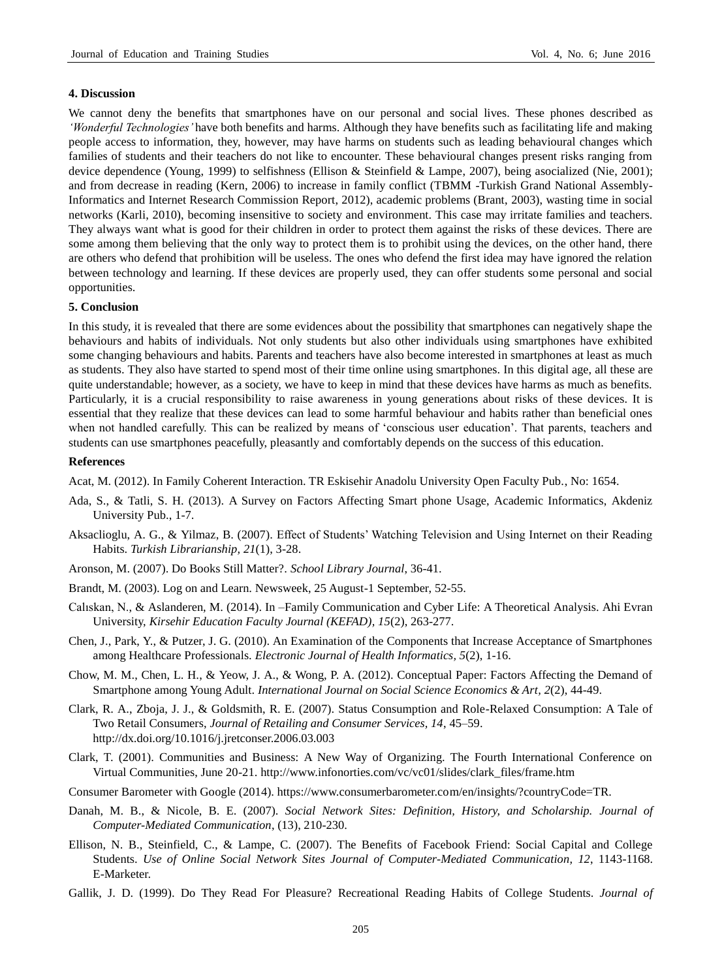#### **4. Discussion**

We cannot deny the benefits that smartphones have on our personal and social lives. These phones described as *'Wonderful Technologies'* have both benefits and harms. Although they have benefits such as facilitating life and making people access to information, they, however, may have harms on students such as leading behavioural changes which families of students and their teachers do not like to encounter. These behavioural changes present risks ranging from device dependence (Young, 1999) to selfishness (Ellison & Steinfield & Lampe, 2007), being asocialized (Nie, 2001); and from decrease in reading (Kern, 2006) to increase in family conflict (TBMM -Turkish Grand National Assembly-Informatics and Internet Research Commission Report, 2012), academic problems (Brant, 2003), wasting time in social networks (Karli, 2010), becoming insensitive to society and environment. This case may irritate families and teachers. They always want what is good for their children in order to protect them against the risks of these devices. There are some among them believing that the only way to protect them is to prohibit using the devices, on the other hand, there are others who defend that prohibition will be useless. The ones who defend the first idea may have ignored the relation between technology and learning. If these devices are properly used, they can offer students some personal and social opportunities.

#### **5. Conclusion**

In this study, it is revealed that there are some evidences about the possibility that smartphones can negatively shape the behaviours and habits of individuals. Not only students but also other individuals using smartphones have exhibited some changing behaviours and habits. Parents and teachers have also become interested in smartphones at least as much as students. They also have started to spend most of their time online using smartphones. In this digital age, all these are quite understandable; however, as a society, we have to keep in mind that these devices have harms as much as benefits. Particularly, it is a crucial responsibility to raise awareness in young generations about risks of these devices. It is essential that they realize that these devices can lead to some harmful behaviour and habits rather than beneficial ones when not handled carefully. This can be realized by means of 'conscious user education'. That parents, teachers and students can use smartphones peacefully, pleasantly and comfortably depends on the success of this education.

#### **References**

Acat, M. (2012). In Family Coherent Interaction. TR Eskisehir Anadolu University Open Faculty Pub., No: 1654.

- Ada, S., & Tatli, S. H. (2013). A Survey on Factors Affecting Smart phone Usage, Academic Informatics, Akdeniz University Pub., 1-7.
- Aksaclioglu, A. G., & Yilmaz, B. (2007). Effect of Students' Watching Television and Using Internet on their Reading Habits. *Turkish Librarianship, 21*(1), 3-28.
- Aronson, M. (2007). Do Books Still Matter?. *School Library Journal*, 36-41.
- Brandt, M. (2003). Log on and Learn. Newsweek, 25 August-1 September, 52-55.
- Calıskan, N., & Aslanderen, M. (2014). In –Family Communication and Cyber Life: A Theoretical Analysis. Ahi Evran University, *Kirsehir Education Faculty Journal (KEFAD), 15*(2), 263-277.
- Chen, J., Park, Y., & Putzer, J. G. (2010). An Examination of the Components that Increase Acceptance of Smartphones among Healthcare Professionals. *Electronic Journal of Health Informatics, 5*(2), 1-16.
- Chow, M. M., Chen, L. H., & Yeow, J. A., & Wong, P. A. (2012). Conceptual Paper: Factors Affecting the Demand of Smartphone among Young Adult. *International Journal on Social Science Economics & Art, 2*(2), 44-49.
- Clark, R. A., Zboja, J. J., & Goldsmith, R. E. (2007). Status Consumption and Role-Relaxed Consumption: A Tale of Two Retail Consumers, *Journal of Retailing and Consumer Services, 14*, 45–59. http://dx.doi.org/10.1016/j.jretconser.2006.03.003
- Clark, T. (2001). Communities and Business: A New Way of Organizing. The Fourth International Conference on Virtual Communities, June 20-21. http://www.infonorties.com/vc/vc01/slides/clark\_files/frame.htm
- Consumer Barometer with Google (2014). https://www.consumerbarometer.com/en/insights/?countryCode=TR.
- Danah, M. B., & Nicole, B. E. (2007). *Social Network Sites: Definition, History, and Scholarship. Journal of Computer-Mediated Communication*, (13), 210-230.
- Ellison, N. B., Steinfield, C., & Lampe, C. (2007). The Benefits of Facebook Friend: Social Capital and College Students. *Use of Online Social Network Sites Journal of Computer-Mediated Communication, 12*, 1143-1168. E-Marketer.
- Gallik, J. D. (1999). Do They Read For Pleasure? Recreational Reading Habits of College Students. *Journal of*